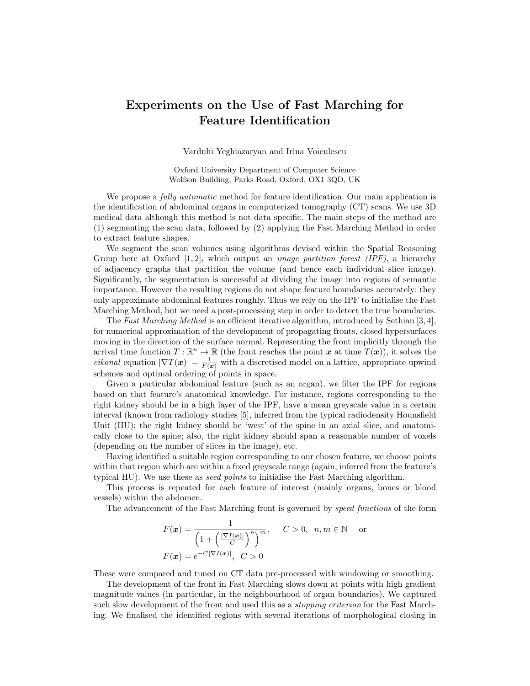## Experiments on the Use of Fast Marching for Feature Identification

Varduhi Yeghiazaryan and Irina Voiculescu

Oxford University Department of Computer Science Wolfson Building, Parks Road, Oxford, OX1 3QD, UK

We propose a *fully automatic* method for feature identification. Our main application is the identification of abdominal organs in computerized tomography (CT) scans. We use 3D medical data although this method is not data specific. The main steps of the method are (1) segmenting the scan data, followed by (2) applying the Fast Marching Method in order to extract feature shapes.

We segment the scan volumes using algorithms devised within the Spatial Reasoning Group here at Oxford [1, 2], which output an *image partition forest (IPF)*, a hierarchy of adjacency graphs that partition the volume (and hence each individual slice image). Significantly, the segmentation is successful at dividing the image into regions of semantic importance. However the resulting regions do not shape feature boundaries accurately: they only approximate abdominal features roughly. Thus we rely on the IPF to initialise the Fast Marching Method, but we need a post-processing step in order to detect the true boundaries.

The Fast Marching Method is an efficient iterative algorithm, introduced by Sethian [3, 4], for numerical approximation of the development of propagating fronts, closed hypersurfaces moving in the direction of the surface normal. Representing the front implicitly through the arrival time function  $T : \mathbb{R}^n \to \mathbb{R}$  (the front reaches the point x at time  $T(x)$ ), it solves the *eikonal* equation  $|\nabla T(\boldsymbol{x})| = \frac{1}{F(\boldsymbol{x})}$  with a discretised model on a lattice, appropriate upwind schemes and optimal ordering of points in space.

Given a particular abdominal feature (such as an organ), we filter the IPF for regions based on that feature's anatomical knowledge. For instance, regions corresponding to the right kidney should be in a high layer of the IPF, have a mean greyscale value in a certain interval (known from radiology studies [5], inferred from the typical radiodensity Hounsfield Unit (HU); the right kidney should be 'west' of the spine in an axial slice, and anatomically close to the spine; also, the right kidney should span a reasonable number of voxels (depending on the number of slices in the image), etc.

Having identified a suitable region corresponding to our chosen feature, we choose points within that region which are within a fixed greyscale range (again, inferred from the feature's typical HU). We use these as seed points to initialise the Fast Marching algorithm.

This process is repeated for each feature of interest (mainly organs, bones or blood vessels) within the abdomen.

The advancement of the Fast Marching front is governed by speed functions of the form

$$
F(\boldsymbol{x}) = \frac{1}{\left(1 + \left(\frac{|\nabla I(\boldsymbol{x})|}{C}\right)^n\right)^m}, \quad C > 0, \ n, m \in \mathbb{N} \quad \text{or}
$$

$$
F(\boldsymbol{x}) = e^{-C|\nabla I(\boldsymbol{x})|}, \quad C > 0
$$

These were compared and tuned on CT data pre-processed with windowing or smoothing.

The development of the front in Fast Marching slows down at points with high gradient magnitude values (in particular, in the neighbourhood of organ boundaries). We captured such slow development of the front and used this as a *stopping criterion* for the Fast Marching. We finalised the identified regions with several iterations of morphological closing in